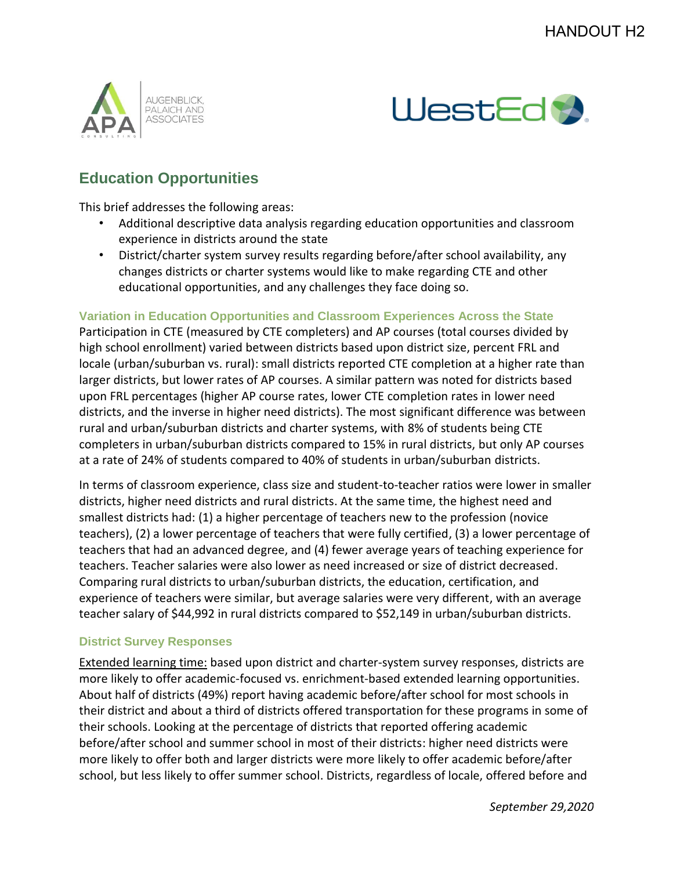



## **Education Opportunities**

This brief addresses the following areas:

- Additional descriptive data analysis regarding education opportunities and classroom experience in districts around the state
- District/charter system survey results regarding before/after school availability, any changes districts or charter systems would like to make regarding CTE and other educational opportunities, and any challenges they face doing so.

**Variation in Education Opportunities and Classroom Experiences Across the State**

Participation in CTE (measured by CTE completers) and AP courses (total courses divided by high school enrollment) varied between districts based upon district size, percent FRL and locale (urban/suburban vs. rural): small districts reported CTE completion at a higher rate than larger districts, but lower rates of AP courses. A similar pattern was noted for districts based upon FRL percentages (higher AP course rates, lower CTE completion rates in lower need districts, and the inverse in higher need districts). The most significant difference was between rural and urban/suburban districts and charter systems, with 8% of students being CTE completers in urban/suburban districts compared to 15% in rural districts, but only AP courses at a rate of 24% of students compared to 40% of students in urban/suburban districts.

In terms of classroom experience, class size and student-to-teacher ratios were lower in smaller districts, higher need districts and rural districts. At the same time, the highest need and smallest districts had: (1) a higher percentage of teachers new to the profession (novice teachers), (2) a lower percentage of teachers that were fully certified, (3) a lower percentage of teachers that had an advanced degree, and (4) fewer average years of teaching experience for teachers. Teacher salaries were also lower as need increased or size of district decreased. Comparing rural districts to urban/suburban districts, the education, certification, and experience of teachers were similar, but average salaries were very different, with an average teacher salary of \$44,992 in rural districts compared to \$52,149 in urban/suburban districts.

## **District Survey Responses**

Extended learning time: based upon district and charter-system survey responses, districts are more likely to offer academic-focused vs. enrichment-based extended learning opportunities. About half of districts (49%) report having academic before/after school for most schools in their district and about a third of districts offered transportation for these programs in some of their schools. Looking at the percentage of districts that reported offering academic before/after school and summer school in most of their districts: higher need districts were more likely to offer both and larger districts were more likely to offer academic before/after school, but less likely to offer summer school. Districts, regardless of locale, offered before and